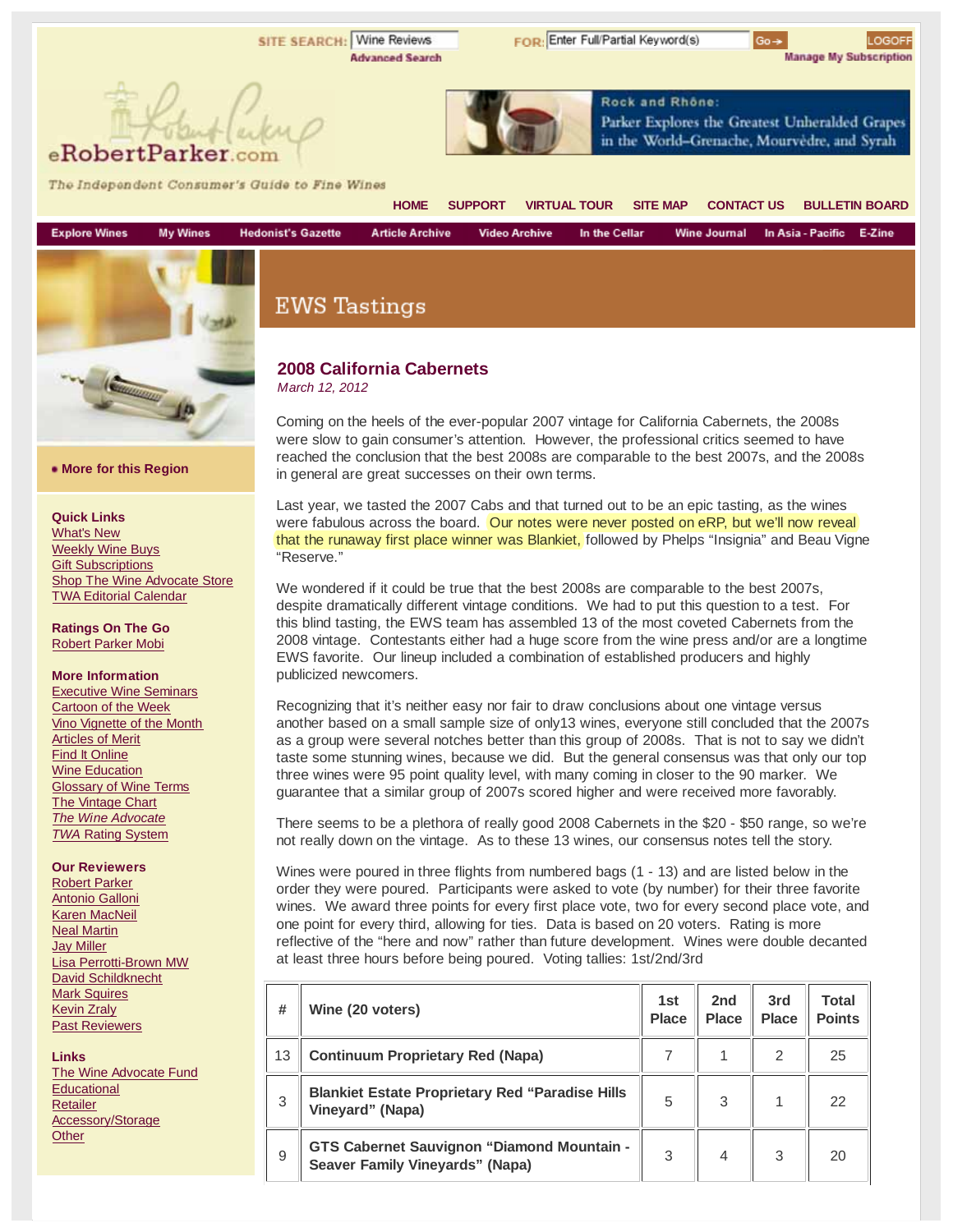**SITE SEARCH: Wine Reviews**  $Go \rightarrow$ LOGOFF **Advanced Search Manage My Subscription** Rock and Rhône: Parker Explores the Greatest Unheralded Grapes in the World-Grenache, Mourvedre, and Syrah eRobertParker The Independent Consumer's Guide to Fine Wines **HOME SUPPORT VIRTUAL TOUR SITE MAP CONTACT US BULLETIN BOARD Explore Wines My Wines Hedonist's Gazette Article Archive Video Archive** In the Cellar **Wine Journal** In Asia - Pacific E-Zine **EWS Tastings** 

# **2008 California Cabernets**

*March 12, 2012*

Coming on the heels of the ever-popular 2007 vintage for California Cabernets, the 2008s were slow to gain consumer's attention. However, the professional critics seemed to have reached the conclusion that the best 2008s are comparable to the best 2007s, and the 2008s in general are great successes on their own terms.

Last year, we tasted the 2007 Cabs and that turned out to be an epic tasting, as the wines were fabulous across the board. Our notes were never posted on eRP, but we'll now reveal that the runaway first place winner was Blankiet, followed by Phelps "Insignia" and Beau Vigne "Reserve."

We wondered if it could be true that the best 2008s are comparable to the best 2007s, despite dramatically different vintage conditions. We had to put this question to a test. For this blind tasting, the EWS team has assembled 13 of the most coveted Cabernets from the 2008 vintage. Contestants either had a huge score from the wine press and/or are a longtime EWS favorite. Our lineup included a combination of established producers and highly publicized newcomers.

Recognizing that it's neither easy nor fair to draw conclusions about one vintage versus another based on a small sample size of only13 wines, everyone still concluded that the 2007s as a group were several notches better than this group of 2008s. That is not to say we didn't taste some stunning wines, because we did. But the general consensus was that only our top three wines were 95 point quality level, with many coming in closer to the 90 marker. We guarantee that a similar group of 2007s scored higher and were received more favorably.

There seems to be a plethora of really good 2008 Cabernets in the \$20 - \$50 range, so we're not really down on the vintage. As to these 13 wines, our consensus notes tell the story.

Wines were poured in three flights from numbered bags (1 - 13) and are listed below in the order they were poured. Participants were asked to vote (by number) for their three favorite wines. We award three points for every first place vote, two for every second place vote, and one point for every third, allowing for ties. Data is based on 20 voters. Rating is more reflective of the "here and now" rather than future development. Wines were double decanted at least three hours before being poured. Voting tallies: 1st/2nd/3rd

| #  | Wine (20 voters)                                                                            | 1st<br><b>Place</b> | 2nd<br><b>Place</b> | 3rd<br><b>Place</b> | Total<br><b>Points</b> |
|----|---------------------------------------------------------------------------------------------|---------------------|---------------------|---------------------|------------------------|
| 13 | <b>Continuum Proprietary Red (Napa)</b>                                                     |                     |                     | 2                   | 25                     |
| 3  | <b>Blankiet Estate Proprietary Red "Paradise Hills"</b><br>Vineyard" (Napa)                 | 5                   | 3                   |                     | 22                     |
| 9  | <b>GTS Cabernet Sauvignon "Diamond Mountain -</b><br><b>Seaver Family Vineyards" (Napa)</b> | 3                   | 4                   | 3                   | 20                     |

#### **More for this Region**

**Quick Links**

What's New Weekly Wine Buys **Gift Subscriptions** Shop The Wine Advocate Store TWA Editorial Calendar

**Community AD** 

**Ratings On The Go** Robert Parker Mobi

#### **More Information**

Executive Wine Seminars Cartoon of the Week Vino Vignette of the Month Articles of Merit Find It Online Wine Education Glossary of Wine Terms **The Vintage Chart** *The Wine Advocate TWA* Rating System

#### **Our Reviewers**

Robert Parker Antonio Galloni Karen MacNeil Neal Martin Jay Miller Lisa Perrotti-Brown MW David Schildknecht **Mark Squires** Kevin Zraly Past Reviewers

**Links** The Wine Advocate Fund **Educational** Retailer Accessory/Storage **Other** 

FOR: Enter Full/Partial Keyword(s)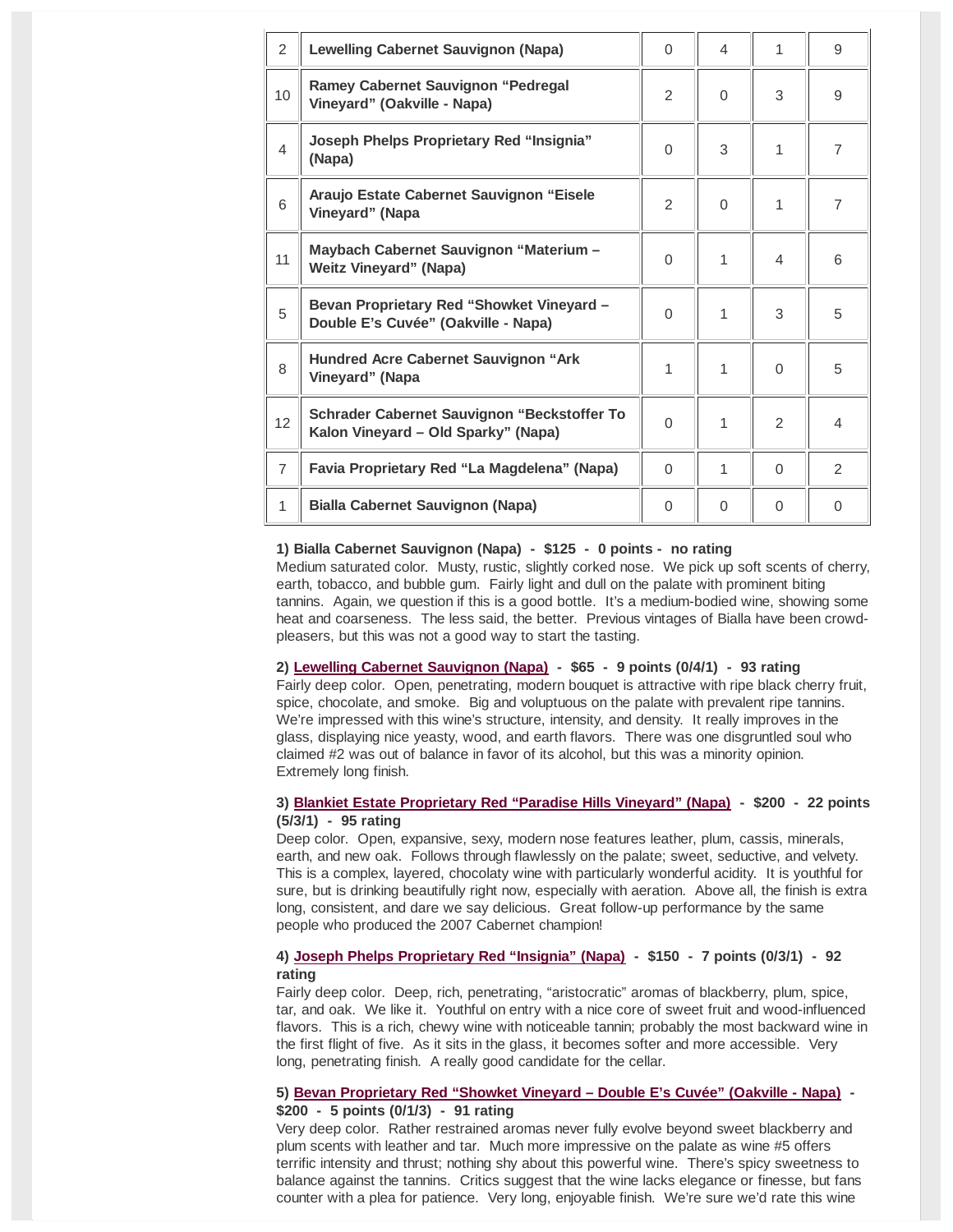| $\overline{2}$ | <b>Lewelling Cabernet Sauvignon (Napa)</b>                                         | $\Omega$     | $\overline{\mathcal{L}}$ | 1        | 9              |
|----------------|------------------------------------------------------------------------------------|--------------|--------------------------|----------|----------------|
| 10             | <b>Ramey Cabernet Sauvignon "Pedregal</b><br>Vineyard" (Oakville - Napa)           | 2            | $\Omega$                 | 3        | 9              |
| $\overline{4}$ | <b>Joseph Phelps Proprietary Red "Insignia"</b><br>(Napa)                          | $\Omega$     | 3                        | 1        | $\overline{7}$ |
| 6              | Araujo Estate Cabernet Sauvignon "Eisele<br>Vineyard" (Napa                        | 2            | $\Omega$                 | 1        | $\overline{7}$ |
| 11             | Maybach Cabernet Sauvignon "Materium -<br><b>Weitz Vineyard" (Napa)</b>            | $\Omega$     | 1                        | 4        | 6              |
| 5              | Bevan Proprietary Red "Showket Vineyard -<br>Double E's Cuvée" (Oakville - Napa)   | $\Omega$     | 1                        | 3        | 5              |
| 8              | <b>Hundred Acre Cabernet Sauvignon "Ark</b><br>Vineyard" (Napa                     | $\mathbf{1}$ | 1                        | $\Omega$ | 5              |
| 12             | Schrader Cabernet Sauvignon "Beckstoffer To<br>Kalon Vineyard - Old Sparky" (Napa) | $\Omega$     | 1                        | 2        | $\overline{4}$ |
| $\overline{7}$ | Favia Proprietary Red "La Magdelena" (Napa)                                        | $\Omega$     | 1                        | $\Omega$ | $\mathcal{P}$  |
| 1              | <b>Bialla Cabernet Sauvignon (Napa)</b>                                            | $\Omega$     | $\Omega$                 | $\Omega$ | $\Omega$       |

#### **1) Bialla Cabernet Sauvignon (Napa) - \$125 - 0 points - no rating**

Medium saturated color. Musty, rustic, slightly corked nose. We pick up soft scents of cherry, earth, tobacco, and bubble gum. Fairly light and dull on the palate with prominent biting tannins. Again, we question if this is a good bottle. It's a medium-bodied wine, showing some heat and coarseness. The less said, the better. Previous vintages of Bialla have been crowdpleasers, but this was not a good way to start the tasting.

#### **2) Lewelling Cabernet Sauvignon (Napa) - \$65 - 9 points (0/4/1) - 93 rating**

Fairly deep color. Open, penetrating, modern bouquet is attractive with ripe black cherry fruit, spice, chocolate, and smoke. Big and voluptuous on the palate with prevalent ripe tannins. We're impressed with this wine's structure, intensity, and density. It really improves in the glass, displaying nice yeasty, wood, and earth flavors. There was one disgruntled soul who claimed #2 was out of balance in favor of its alcohol, but this was a minority opinion. Extremely long finish.

## **3) Blankiet Estate Proprietary Red "Paradise Hills Vineyard" (Napa) - \$200 - 22 points (5/3/1) - 95 rating**

Deep color. Open, expansive, sexy, modern nose features leather, plum, cassis, minerals, earth, and new oak. Follows through flawlessly on the palate; sweet, seductive, and velvety. This is a complex, layered, chocolaty wine with particularly wonderful acidity. It is youthful for sure, but is drinking beautifully right now, especially with aeration. Above all, the finish is extra long, consistent, and dare we say delicious. Great follow-up performance by the same people who produced the 2007 Cabernet champion!

## **4) Joseph Phelps Proprietary Red "Insignia" (Napa) - \$150 - 7 points (0/3/1) - 92 rating**

Fairly deep color. Deep, rich, penetrating, "aristocratic" aromas of blackberry, plum, spice, tar, and oak. We like it. Youthful on entry with a nice core of sweet fruit and wood-influenced flavors. This is a rich, chewy wine with noticeable tannin; probably the most backward wine in the first flight of five. As it sits in the glass, it becomes softer and more accessible. Very long, penetrating finish. A really good candidate for the cellar.

## **5) Bevan Proprietary Red "Showket Vineyard – Double E's Cuvée" (Oakville - Napa) - \$200 - 5 points (0/1/3) - 91 rating**

Very deep color. Rather restrained aromas never fully evolve beyond sweet blackberry and plum scents with leather and tar. Much more impressive on the palate as wine #5 offers terrific intensity and thrust; nothing shy about this powerful wine. There's spicy sweetness to balance against the tannins. Critics suggest that the wine lacks elegance or finesse, but fans counter with a plea for patience. Very long, enjoyable finish. We're sure we'd rate this wine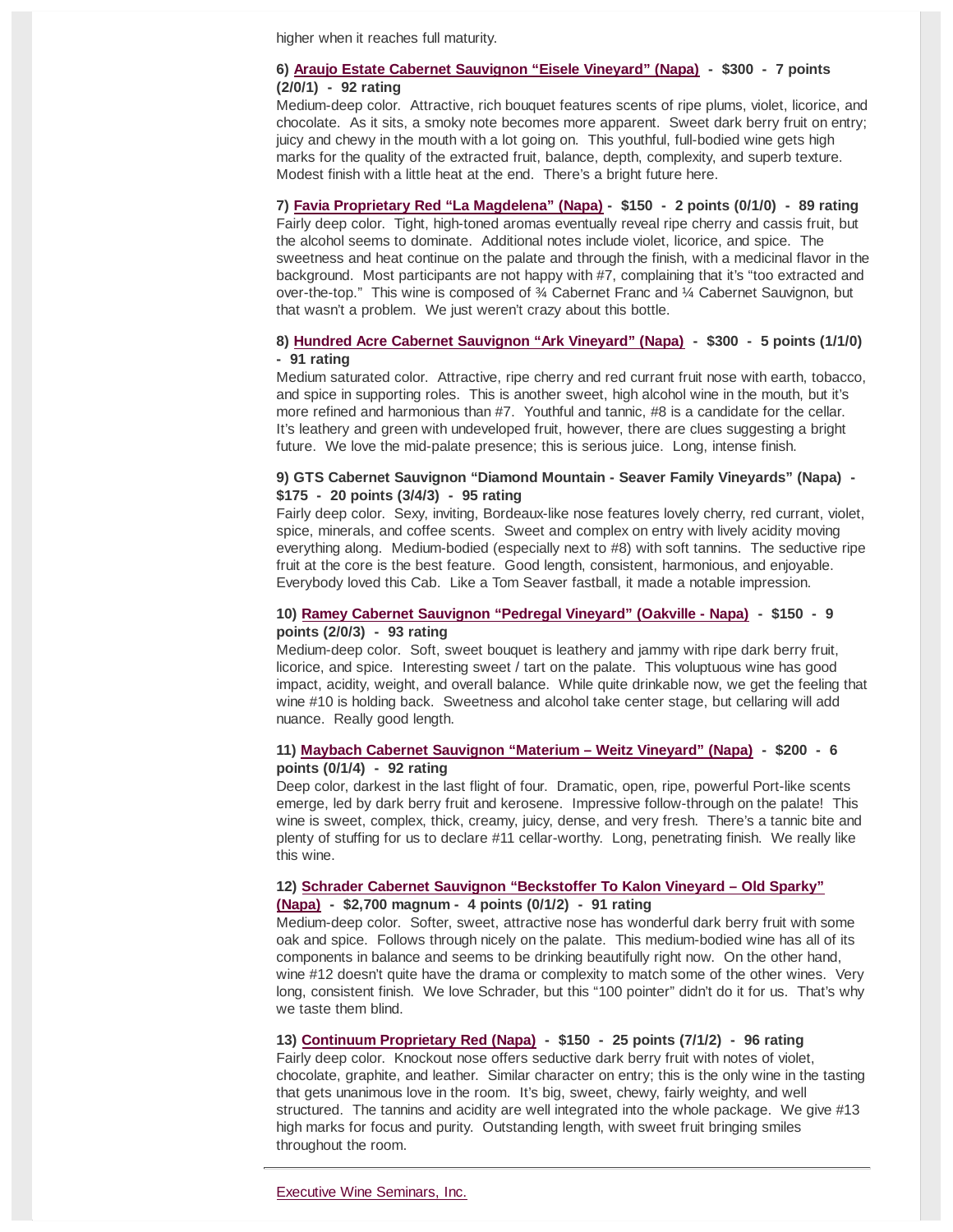higher when it reaches full maturity.

## **6) Araujo Estate Cabernet Sauvignon "Eisele Vineyard" (Napa) - \$300 - 7 points (2/0/1) - 92 rating**

Medium-deep color. Attractive, rich bouquet features scents of ripe plums, violet, licorice, and chocolate. As it sits, a smoky note becomes more apparent. Sweet dark berry fruit on entry; juicy and chewy in the mouth with a lot going on. This youthful, full-bodied wine gets high marks for the quality of the extracted fruit, balance, depth, complexity, and superb texture. Modest finish with a little heat at the end. There's a bright future here.

**7) Favia Proprietary Red "La Magdelena" (Napa) - \$150 - 2 points (0/1/0) - 89 rating** Fairly deep color. Tight, high-toned aromas eventually reveal ripe cherry and cassis fruit, but the alcohol seems to dominate. Additional notes include violet, licorice, and spice. The sweetness and heat continue on the palate and through the finish, with a medicinal flavor in the background. Most participants are not happy with #7, complaining that it's "too extracted and over-the-top." This wine is composed of ¾ Cabernet Franc and ¼ Cabernet Sauvignon, but that wasn't a problem. We just weren't crazy about this bottle.

# **8) Hundred Acre Cabernet Sauvignon "Ark Vineyard" (Napa) - \$300 - 5 points (1/1/0) - 91 rating**

Medium saturated color. Attractive, ripe cherry and red currant fruit nose with earth, tobacco, and spice in supporting roles. This is another sweet, high alcohol wine in the mouth, but it's more refined and harmonious than #7. Youthful and tannic, #8 is a candidate for the cellar. It's leathery and green with undeveloped fruit, however, there are clues suggesting a bright future. We love the mid-palate presence; this is serious juice. Long, intense finish.

# **9) GTS Cabernet Sauvignon "Diamond Mountain - Seaver Family Vineyards" (Napa) - \$175 - 20 points (3/4/3) - 95 rating**

Fairly deep color. Sexy, inviting, Bordeaux-like nose features lovely cherry, red currant, violet, spice, minerals, and coffee scents. Sweet and complex on entry with lively acidity moving everything along. Medium-bodied (especially next to #8) with soft tannins. The seductive ripe fruit at the core is the best feature. Good length, consistent, harmonious, and enjoyable. Everybody loved this Cab. Like a Tom Seaver fastball, it made a notable impression.

## **10) Ramey Cabernet Sauvignon "Pedregal Vineyard" (Oakville - Napa) - \$150 - 9 points (2/0/3) - 93 rating**

Medium-deep color. Soft, sweet bouquet is leathery and jammy with ripe dark berry fruit, licorice, and spice. Interesting sweet / tart on the palate. This voluptuous wine has good impact, acidity, weight, and overall balance. While quite drinkable now, we get the feeling that wine #10 is holding back. Sweetness and alcohol take center stage, but cellaring will add nuance. Really good length.

### **11) Maybach Cabernet Sauvignon "Materium – Weitz Vineyard" (Napa) - \$200 - 6 points (0/1/4) - 92 rating**

Deep color, darkest in the last flight of four. Dramatic, open, ripe, powerful Port-like scents emerge, led by dark berry fruit and kerosene. Impressive follow-through on the palate! This wine is sweet, complex, thick, creamy, juicy, dense, and very fresh. There's a tannic bite and plenty of stuffing for us to declare #11 cellar-worthy. Long, penetrating finish. We really like this wine.

## **12) Schrader Cabernet Sauvignon "Beckstoffer To Kalon Vineyard – Old Sparky"**

#### **(Napa) - \$2,700 magnum - 4 points (0/1/2) - 91 rating**

Medium-deep color. Softer, sweet, attractive nose has wonderful dark berry fruit with some oak and spice. Follows through nicely on the palate. This medium-bodied wine has all of its components in balance and seems to be drinking beautifully right now. On the other hand, wine #12 doesn't quite have the drama or complexity to match some of the other wines. Very long, consistent finish. We love Schrader, but this "100 pointer" didn't do it for us. That's why we taste them blind.

## **13) Continuum Proprietary Red (Napa) - \$150 - 25 points (7/1/2) - 96 rating**

Fairly deep color. Knockout nose offers seductive dark berry fruit with notes of violet, chocolate, graphite, and leather. Similar character on entry; this is the only wine in the tasting that gets unanimous love in the room. It's big, sweet, chewy, fairly weighty, and well structured. The tannins and acidity are well integrated into the whole package. We give #13 high marks for focus and purity. Outstanding length, with sweet fruit bringing smiles throughout the room.

Executive Wine Seminars, Inc.